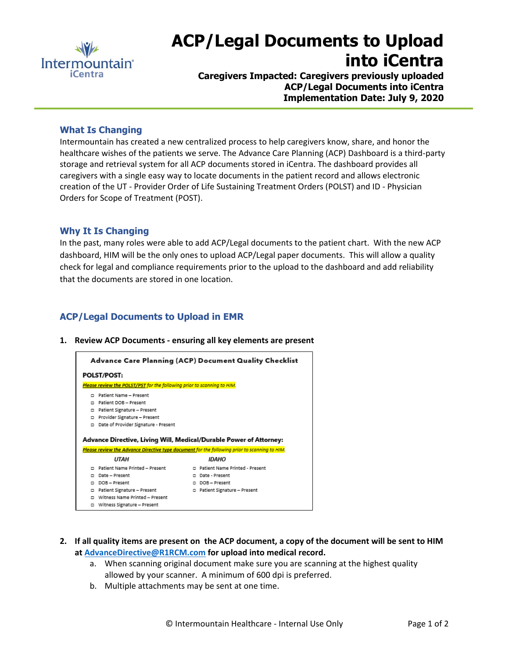

# **ACP/Legal Documents to Upload into iCentra**

**Caregivers Impacted: Caregivers previously uploaded ACP/Legal Documents into iCentra Implementation Date: July 9, 2020**

## **What Is Changing**

Intermountain has created a new centralized process to help caregivers know, share, and honor the healthcare wishes of the patients we serve. The Advance Care Planning (ACP) Dashboard is a third-party storage and retrieval system for all ACP documents stored in iCentra. The dashboard provides all caregivers with a single easy way to locate documents in the patient record and allows electronic creation of the UT - Provider Order of Life Sustaining Treatment Orders (POLST) and ID - Physician Orders for Scope of Treatment (POST).

## **Why It Is Changing**

In the past, many roles were able to add ACP/Legal documents to the patient chart. With the new ACP dashboard, HIM will be the only ones to upload ACP/Legal paper documents. This will allow a quality check for legal and compliance requirements prior to the upload to the dashboard and add reliability that the documents are stored in one location.

## **ACP/Legal Documents to Upload in EMR**

**1. Review ACP Documents - ensuring all key elements are present**



- **2. If all quality items are present on the ACP document, a copy of the document will be sent to HIM a[t AdvanceD](mailto:Advance)irective@R1RCM.com for upload into medical record.**
	- a. When scanning original document make sure you are scanning at the highest quality allowed by your scanner. A minimum of 600 dpi is preferred.
	- b. Multiple attachments may be sent at one time.